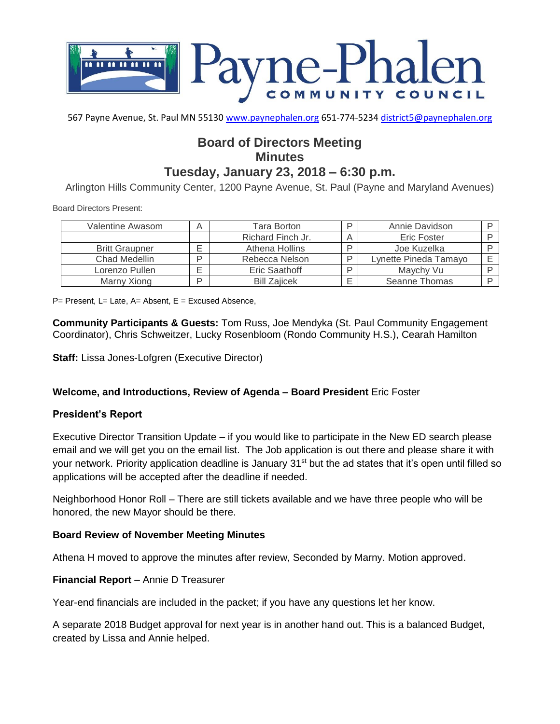

567 Payne Avenue, St. Paul MN 55130 [www.paynephalen.org](http://www.paynephalen.org/) 651-774-5234 [district5@paynephalen.org](mailto:district5@paynephalen.org)

# **Board of Directors Meeting Minutes Tuesday, January 23, 2018 – 6:30 p.m.**

Arlington Hills Community Center, 1200 Payne Avenue, St. Paul (Payne and Maryland Avenues)

Board Directors Present:

| Valentine Awasom      | A | Tara Borton         | D | Annie Davidson        |  |
|-----------------------|---|---------------------|---|-----------------------|--|
|                       |   | Richard Finch Jr.   |   | Eric Foster           |  |
| <b>Britt Graupner</b> |   | Athena Hollins      |   | Joe Kuzelka           |  |
| Chad Medellin         | D | Rebecca Nelson      | D | Lynette Pineda Tamayo |  |
| Lorenzo Pullen        | ⊏ | Eric Saathoff       |   | Maychy Vu             |  |
| Marny Xiong           | D | <b>Bill Zajicek</b> |   | Seanne Thomas         |  |

 $P=$  Present, L= Late, A= Absent, E = Excused Absence,

**Community Participants & Guests:** Tom Russ, Joe Mendyka (St. Paul Community Engagement Coordinator), Chris Schweitzer, Lucky Rosenbloom (Rondo Community H.S.), Cearah Hamilton

**Staff:** Lissa Jones-Lofgren (Executive Director)

## **Welcome, and Introductions, Review of Agenda – Board President** Eric Foster

## **President's Report**

Executive Director Transition Update – if you would like to participate in the New ED search please email and we will get you on the email list. The Job application is out there and please share it with your network. Priority application deadline is January 31<sup>st</sup> but the ad states that it's open until filled so applications will be accepted after the deadline if needed.

Neighborhood Honor Roll – There are still tickets available and we have three people who will be honored, the new Mayor should be there.

## **Board Review of November Meeting Minutes**

Athena H moved to approve the minutes after review, Seconded by Marny. Motion approved.

#### **Financial Report** – Annie D Treasurer

Year-end financials are included in the packet; if you have any questions let her know.

A separate 2018 Budget approval for next year is in another hand out. This is a balanced Budget, created by Lissa and Annie helped.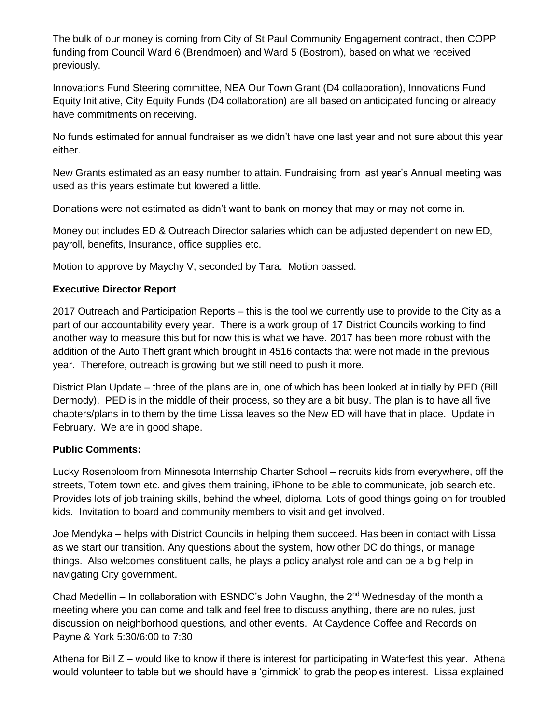The bulk of our money is coming from City of St Paul Community Engagement contract, then COPP funding from Council Ward 6 (Brendmoen) and Ward 5 (Bostrom), based on what we received previously.

Innovations Fund Steering committee, NEA Our Town Grant (D4 collaboration), Innovations Fund Equity Initiative, City Equity Funds (D4 collaboration) are all based on anticipated funding or already have commitments on receiving.

No funds estimated for annual fundraiser as we didn't have one last year and not sure about this year either.

New Grants estimated as an easy number to attain. Fundraising from last year's Annual meeting was used as this years estimate but lowered a little.

Donations were not estimated as didn't want to bank on money that may or may not come in.

Money out includes ED & Outreach Director salaries which can be adjusted dependent on new ED, payroll, benefits, Insurance, office supplies etc.

Motion to approve by Maychy V, seconded by Tara. Motion passed.

## **Executive Director Report**

2017 Outreach and Participation Reports – this is the tool we currently use to provide to the City as a part of our accountability every year. There is a work group of 17 District Councils working to find another way to measure this but for now this is what we have. 2017 has been more robust with the addition of the Auto Theft grant which brought in 4516 contacts that were not made in the previous year. Therefore, outreach is growing but we still need to push it more.

District Plan Update – three of the plans are in, one of which has been looked at initially by PED (Bill Dermody). PED is in the middle of their process, so they are a bit busy. The plan is to have all five chapters/plans in to them by the time Lissa leaves so the New ED will have that in place. Update in February. We are in good shape.

## **Public Comments:**

Lucky Rosenbloom from Minnesota Internship Charter School – recruits kids from everywhere, off the streets, Totem town etc. and gives them training, iPhone to be able to communicate, job search etc. Provides lots of job training skills, behind the wheel, diploma. Lots of good things going on for troubled kids. Invitation to board and community members to visit and get involved.

Joe Mendyka – helps with District Councils in helping them succeed. Has been in contact with Lissa as we start our transition. Any questions about the system, how other DC do things, or manage things. Also welcomes constituent calls, he plays a policy analyst role and can be a big help in navigating City government.

Chad Medellin – In collaboration with ESNDC's John Vaughn, the 2nd Wednesday of the month a meeting where you can come and talk and feel free to discuss anything, there are no rules, just discussion on neighborhood questions, and other events. At Caydence Coffee and Records on Payne & York 5:30/6:00 to 7:30

Athena for Bill Z – would like to know if there is interest for participating in Waterfest this year. Athena would volunteer to table but we should have a 'gimmick' to grab the peoples interest. Lissa explained